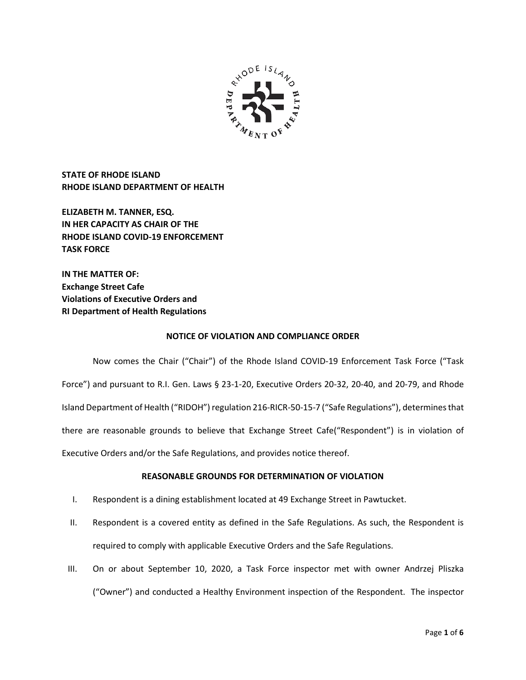

**STATE OF RHODE ISLAND RHODE ISLAND DEPARTMENT OF HEALTH**

**ELIZABETH M. TANNER, ESQ. IN HER CAPACITY AS CHAIR OF THE RHODE ISLAND COVID-19 ENFORCEMENT TASK FORCE** 

**IN THE MATTER OF: Exchange Street Cafe Violations of Executive Orders and RI Department of Health Regulations**

### **NOTICE OF VIOLATION AND COMPLIANCE ORDER**

Now comes the Chair ("Chair") of the Rhode Island COVID-19 Enforcement Task Force ("Task Force") and pursuant to R.I. Gen. Laws § 23-1-20, Executive Orders 20-32, 20-40, and 20-79, and Rhode Island Department of Health ("RIDOH") regulation 216-RICR-50-15-7 ("Safe Regulations"), determines that there are reasonable grounds to believe that Exchange Street Cafe("Respondent") is in violation of Executive Orders and/or the Safe Regulations, and provides notice thereof.

# **REASONABLE GROUNDS FOR DETERMINATION OF VIOLATION**

- I. Respondent is a dining establishment located at 49 Exchange Street in Pawtucket.
- II. Respondent is a covered entity as defined in the Safe Regulations. As such, the Respondent is required to comply with applicable Executive Orders and the Safe Regulations.
- III. On or about September 10, 2020, a Task Force inspector met with owner Andrzej Pliszka ("Owner") and conducted a Healthy Environment inspection of the Respondent. The inspector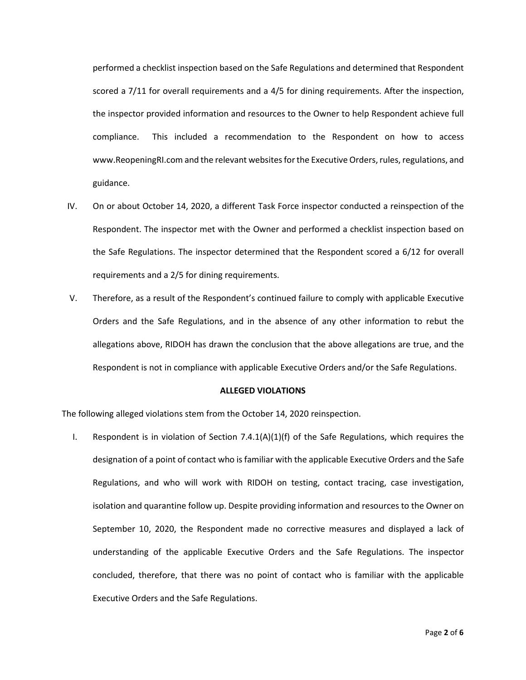performed a checklist inspection based on the Safe Regulations and determined that Respondent scored a 7/11 for overall requirements and a 4/5 for dining requirements. After the inspection, the inspector provided information and resources to the Owner to help Respondent achieve full compliance. This included a recommendation to the Respondent on how to access www.ReopeningRI.com and the relevant websites for the Executive Orders, rules, regulations, and guidance.

- IV. On or about October 14, 2020, a different Task Force inspector conducted a reinspection of the Respondent. The inspector met with the Owner and performed a checklist inspection based on the Safe Regulations. The inspector determined that the Respondent scored a 6/12 for overall requirements and a 2/5 for dining requirements.
- V. Therefore, as a result of the Respondent's continued failure to comply with applicable Executive Orders and the Safe Regulations, and in the absence of any other information to rebut the allegations above, RIDOH has drawn the conclusion that the above allegations are true, and the Respondent is not in compliance with applicable Executive Orders and/or the Safe Regulations.

### **ALLEGED VIOLATIONS**

The following alleged violations stem from the October 14, 2020 reinspection.

I. Respondent is in violation of Section  $7.4.1(A)(1)(f)$  of the Safe Regulations, which requires the designation of a point of contact who is familiar with the applicable Executive Orders and the Safe Regulations, and who will work with RIDOH on testing, contact tracing, case investigation, isolation and quarantine follow up. Despite providing information and resources to the Owner on September 10, 2020, the Respondent made no corrective measures and displayed a lack of understanding of the applicable Executive Orders and the Safe Regulations. The inspector concluded, therefore, that there was no point of contact who is familiar with the applicable Executive Orders and the Safe Regulations.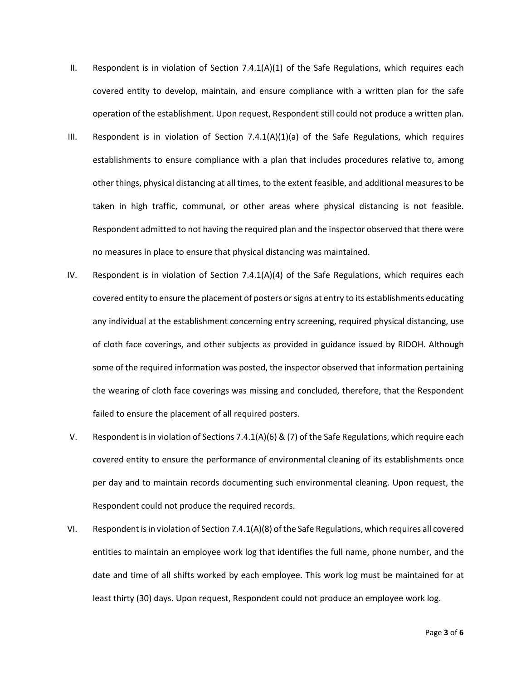- II. Respondent is in violation of Section  $7.4.1(A)(1)$  of the Safe Regulations, which requires each covered entity to develop, maintain, and ensure compliance with a written plan for the safe operation of the establishment. Upon request, Respondent still could not produce a written plan.
- III. Respondent is in violation of Section 7.4.1(A)(1)(a) of the Safe Regulations, which requires establishments to ensure compliance with a plan that includes procedures relative to, among other things, physical distancing at all times, to the extent feasible, and additional measures to be taken in high traffic, communal, or other areas where physical distancing is not feasible. Respondent admitted to not having the required plan and the inspector observed that there were no measures in place to ensure that physical distancing was maintained.
- IV. Respondent is in violation of Section 7.4.1(A)(4) of the Safe Regulations, which requires each covered entity to ensure the placement of posters or signs at entry to its establishments educating any individual at the establishment concerning entry screening, required physical distancing, use of cloth face coverings, and other subjects as provided in guidance issued by RIDOH. Although some of the required information was posted, the inspector observed that information pertaining the wearing of cloth face coverings was missing and concluded, therefore, that the Respondent failed to ensure the placement of all required posters.
- V. Respondent is in violation of Sections 7.4.1(A)(6) & (7) of the Safe Regulations, which require each covered entity to ensure the performance of environmental cleaning of its establishments once per day and to maintain records documenting such environmental cleaning. Upon request, the Respondent could not produce the required records.
- VI. Respondent is in violation of Section 7.4.1(A)(8) of the Safe Regulations, which requires all covered entities to maintain an employee work log that identifies the full name, phone number, and the date and time of all shifts worked by each employee. This work log must be maintained for at least thirty (30) days. Upon request, Respondent could not produce an employee work log.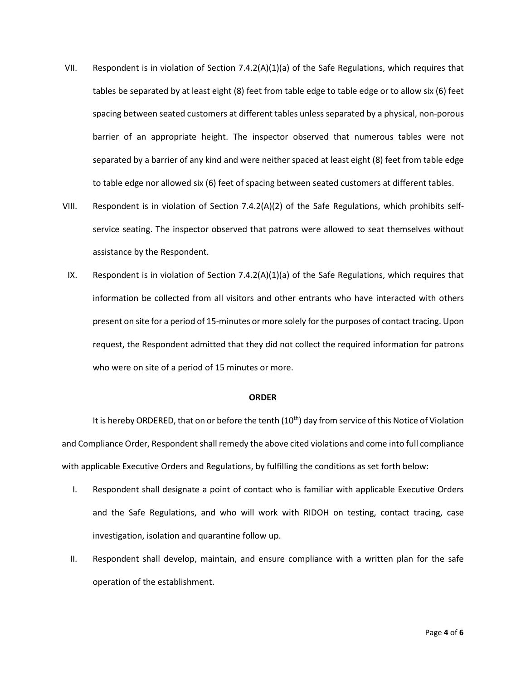- VII. Respondent is in violation of Section 7.4.2(A)(1)(a) of the Safe Regulations, which requires that tables be separated by at least eight (8) feet from table edge to table edge or to allow six (6) feet spacing between seated customers at different tables unless separated by a physical, non-porous barrier of an appropriate height. The inspector observed that numerous tables were not separated by a barrier of any kind and were neither spaced at least eight (8) feet from table edge to table edge nor allowed six (6) feet of spacing between seated customers at different tables.
- VIII. Respondent is in violation of Section 7.4.2(A)(2) of the Safe Regulations, which prohibits selfservice seating. The inspector observed that patrons were allowed to seat themselves without assistance by the Respondent.
- IX. Respondent is in violation of Section 7.4.2(A)(1)(a) of the Safe Regulations, which requires that information be collected from all visitors and other entrants who have interacted with others present on site for a period of 15-minutes or more solely for the purposes of contact tracing. Upon request, the Respondent admitted that they did not collect the required information for patrons who were on site of a period of 15 minutes or more.

#### **ORDER**

It is hereby ORDERED, that on or before the tenth (10<sup>th</sup>) day from service of this Notice of Violation and Compliance Order, Respondent shall remedy the above cited violations and come into full compliance with applicable Executive Orders and Regulations, by fulfilling the conditions as set forth below:

- I. Respondent shall designate a point of contact who is familiar with applicable Executive Orders and the Safe Regulations, and who will work with RIDOH on testing, contact tracing, case investigation, isolation and quarantine follow up.
- II. Respondent shall develop, maintain, and ensure compliance with a written plan for the safe operation of the establishment.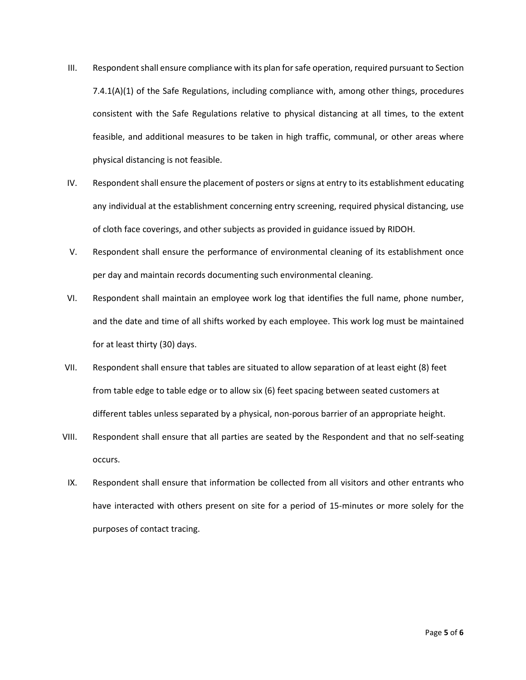- III. Respondent shall ensure compliance with its plan for safe operation, required pursuant to Section 7.4.1(A)(1) of the Safe Regulations, including compliance with, among other things, procedures consistent with the Safe Regulations relative to physical distancing at all times, to the extent feasible, and additional measures to be taken in high traffic, communal, or other areas where physical distancing is not feasible.
- IV. Respondent shall ensure the placement of posters or signs at entry to its establishment educating any individual at the establishment concerning entry screening, required physical distancing, use of cloth face coverings, and other subjects as provided in guidance issued by RIDOH.
- V. Respondent shall ensure the performance of environmental cleaning of its establishment once per day and maintain records documenting such environmental cleaning.
- VI. Respondent shall maintain an employee work log that identifies the full name, phone number, and the date and time of all shifts worked by each employee. This work log must be maintained for at least thirty (30) days.
- VII. Respondent shall ensure that tables are situated to allow separation of at least eight (8) feet from table edge to table edge or to allow six (6) feet spacing between seated customers at different tables unless separated by a physical, non-porous barrier of an appropriate height.
- VIII. Respondent shall ensure that all parties are seated by the Respondent and that no self-seating occurs.
- IX. Respondent shall ensure that information be collected from all visitors and other entrants who have interacted with others present on site for a period of 15-minutes or more solely for the purposes of contact tracing.